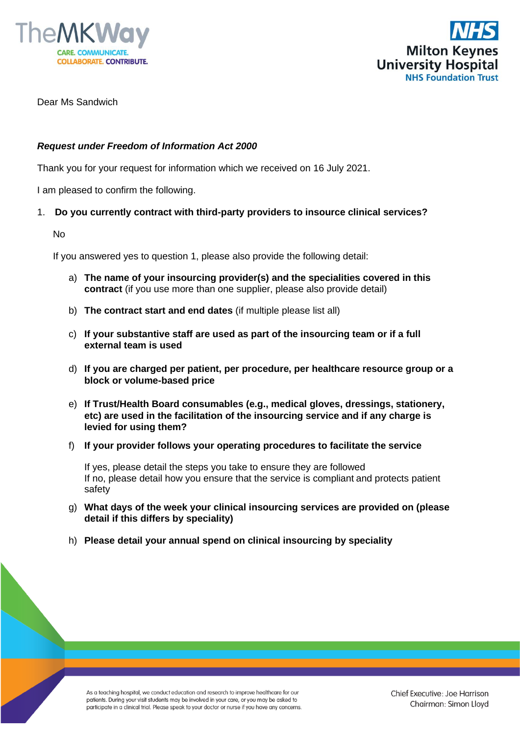



Dear Ms Sandwich

## *Request under Freedom of Information Act 2000*

Thank you for your request for information which we received on 16 July 2021.

I am pleased to confirm the following.

## 1. **Do you currently contract with third-party providers to insource clinical services?**

No

If you answered yes to question 1, please also provide the following detail:

- a) **The name of your insourcing provider(s) and the specialities covered in this contract** (if you use more than one supplier, please also provide detail)
- b) **The contract start and end dates** (if multiple please list all)
- c) **If your substantive staff are used as part of the insourcing team or if a full external team is used**
- d) **If you are charged per patient, per procedure, per healthcare resource group or a block or volume-based price**
- e) **If Trust/Health Board consumables (e.g., medical gloves, dressings, stationery, etc) are used in the facilitation of the insourcing service and if any charge is levied for using them?**
- f) **If your provider follows your operating procedures to facilitate the service**

If yes, please detail the steps you take to ensure they are followed If no, please detail how you ensure that the service is compliant and protects patient safety

- g) **What days of the week your clinical insourcing services are provided on (please detail if this differs by speciality)**
- h) **Please detail your annual spend on clinical insourcing by speciality**

As a teaching hospital, we conduct education and research to improve healthcare for our patients. During your visit students may be involved in your care, or you may be asked to participate in a clinical trial. Please speak to your doctor or nurse if you have any concerns.